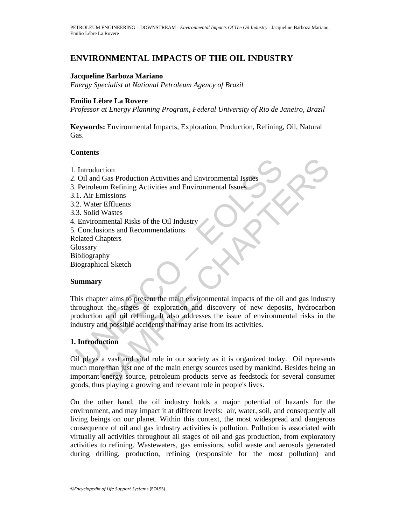## **ENVIRONMENTAL IMPACTS OF THE OIL INDUSTRY**

### **Jacqueline Barboza Mariano**

*Energy Specialist at National Petroleum Agency of Brazil* 

### **Emilio Lèbre La Rovere**

*Professor at Energy Planning Program, Federal University of Rio de Janeiro, Brazil* 

**Keywords:** Environmental Impacts, Exploration, Production, Refining, Oil, Natural Gas.

## **Contents**

- 1. Introduction
- 2. Oil and Gas Production Activities and Environmental Issues
- 3. Petroleum Refining Activities and Environmental Issues
- 3.1. Air Emissions
- 3.2. Water Effluents
- 3.3. Solid Wastes
- 4. Environmental Risks of the Oil Industry
- 5. Conclusions and Recommendations
- Related Chapters

**Glossary** 

Bibliography

Biographical Sketch

### **Summary**

CONTINUES AND EXERCISE INTERNATION CONTINUES.<br>
I. Air Emissions<br>
2. Water Effluents<br>
2. Water Effluents<br>
2. Water Effluents<br>
2. Water Effluents<br>
2. Water Effluents<br>
2. Water Effluents<br>
2. Water Effluents<br>
2. Water Effluent uction<br>
d Gas Production Activities and Environmental Issues<br>
Emissions<br>
Emissions<br>
Er Effluents<br>
Er Effluents<br>
I Wastes<br>
SIMPRES<br>
The CHAPTER CHAPTER CHAPTER<br>
There aims to present the main environmental impacts of the oi This chapter aims to present the main environmental impacts of the oil and gas industry throughout the stages of exploration and discovery of new deposits, hydrocarbon production and oil refining. It also addresses the issue of environmental risks in the industry and possible accidents that may arise from its activities.

### **1. Introduction**

Oil plays a vast and vital role in our society as it is organized today. Oil represents much more than just one of the main energy sources used by mankind. Besides being an important energy source, petroleum products serve as feedstock for several consumer goods, thus playing a growing and relevant role in people's lives.

On the other hand, the oil industry holds a major potential of hazards for the environment, and may impact it at different levels: air, water, soil, and consequently all living beings on our planet. Within this context, the most widespread and dangerous consequence of oil and gas industry activities is pollution. Pollution is associated with virtually all activities throughout all stages of oil and gas production, from exploratory activities to refining. Wastewaters, gas emissions, solid waste and aerosols generated during drilling, production, refining (responsible for the most pollution) and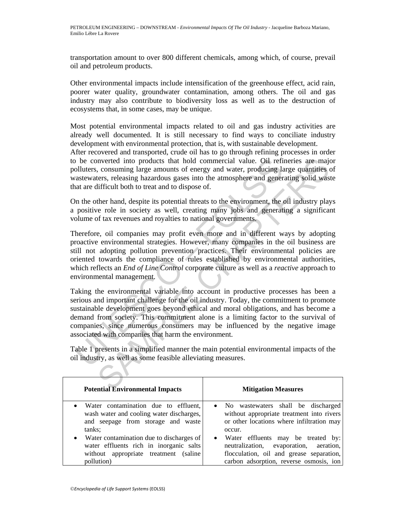transportation amount to over 800 different chemicals, among which, of course, prevail oil and petroleum products.

Other environmental impacts include intensification of the greenhouse effect, acid rain, poorer water quality, groundwater contamination, among others. The oil and gas industry may also contribute to biodiversity loss as well as to the destruction of ecosystems that, in some cases, may be unique.

Most potential environmental impacts related to oil and gas industry activities are already well documented. It is still necessary to find ways to conciliate industry development with environmental protection, that is, with sustainable development.

After recovered and transported, crude oil has to go through refining processes in order to be converted into products that hold commercial value. Oil refineries are major polluters, consuming large amounts of energy and water, producing large quantities of wastewaters, releasing hazardous gases into the atmosphere and generating solid waste that are difficult both to treat and to dispose of.

On the other hand, despite its potential threats to the environment, the oil industry plays a positive role in society as well, creating many jobs and generating a significant volume of tax revenues and royalties to national governments.

be converted into products that hold commercial value. Oil refi<br>olluters, consuming large amounts of energy and water, producing la<br>astexuaters, releasing hazardous gases into the atmosphere and gener<br>at at are difficult moverted into products that hold commercial value. Oil refineries are major consuming large amounts of energy and water, producing large quantities eters, releasing hazardous gases into the atmosphere and generating solid Therefore, oil companies may profit even more and in different ways by adopting proactive environmental strategies. However, many companies in the oil business are still not adopting pollution prevention practices. Their environmental policies are oriented towards the compliance of rules established by environmental authorities, which reflects an *End of Line Control* corporate culture as well as a *reactive* approach to environmental management.

Taking the environmental variable into account in productive processes has been a serious and important challenge for the oil industry. Today, the commitment to promote sustainable development goes beyond ethical and moral obligations, and has become a demand from society. This commitment alone is a limiting factor to the survival of companies, since numerous consumers may be influenced by the negative image associated with companies that harm the environment.

Table 1 presents in a simplified manner the main potential environmental impacts of the oil industry, as well as some feasible alleviating measures.

| <b>Potential Environmental Impacts</b>                                                                                                       | <b>Mitigation Measures</b>                                                                                                                                                       |
|----------------------------------------------------------------------------------------------------------------------------------------------|----------------------------------------------------------------------------------------------------------------------------------------------------------------------------------|
| • Water contamination due to effluent,<br>wash water and cooling water discharges,<br>and seepage from storage and waste<br>tanks;           | No wastewaters shall be discharged<br>$\bullet$<br>without appropriate treatment into rivers<br>or other locations where infiltration may<br>occur.                              |
| • Water contamination due to discharges of<br>water effluents rich in inorganic salts<br>without appropriate treatment (saline<br>pollution) | Water effluents may be treated by:<br>$\bullet$<br>neutralization, evaporation, aeration,<br>flocculation, oil and grease separation,<br>carbon adsorption, reverse osmosis, ion |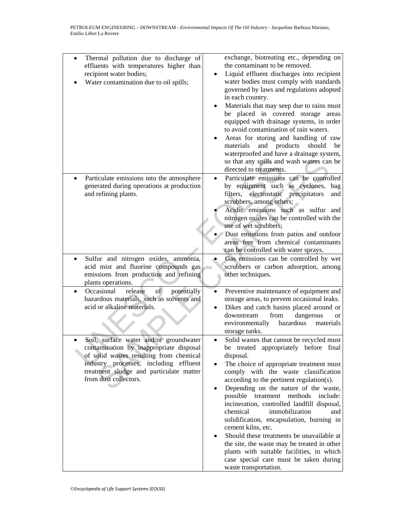| Thermal pollution due to discharge of<br>$\bullet$<br>effluents with temperatures higher than<br>recipient water bodies;<br>Water contamination due to oil spills;                                                                                                                                                                                                                         | exchange, biotreating etc., depending on<br>the contaminant to be removed.<br>Liquid effluent discharges into recipient<br>water bodies must comply with standards<br>governed by laws and regulations adopted<br>in each country.<br>Materials that may seep due to rains must<br>be placed in covered storage areas<br>equipped with drainage systems, in order<br>to avoid contamination of rain waters.<br>Areas for storing and handling of raw<br>and products<br>should<br>materials<br>be<br>waterproofed and have a drainage system,<br>so that any spills and wash waters can be<br>directed to treatments.                                                                                                                                                                                                                                                                                                                                                                            |
|--------------------------------------------------------------------------------------------------------------------------------------------------------------------------------------------------------------------------------------------------------------------------------------------------------------------------------------------------------------------------------------------|--------------------------------------------------------------------------------------------------------------------------------------------------------------------------------------------------------------------------------------------------------------------------------------------------------------------------------------------------------------------------------------------------------------------------------------------------------------------------------------------------------------------------------------------------------------------------------------------------------------------------------------------------------------------------------------------------------------------------------------------------------------------------------------------------------------------------------------------------------------------------------------------------------------------------------------------------------------------------------------------------|
| Particulate emissions into the atmosphere<br>generated during operations at production<br>and refining plants.<br>Sulfur and nitrogen oxides, ammonia,<br>acid mist and fluorine compounds gas<br>emissions from production and refining                                                                                                                                                   | Particulate emissions can be controlled<br>$\bullet$<br>by equipment such as cyclones,<br>bag<br>electrostatic precipitators<br>filters,<br>and<br>scrubbers, among others;<br>Acidic emissions such as sulfur and<br>nitrogen oxides can be controlled with the<br>use of wet scrubbers;<br>Dust emissions from patios and outdoor<br>areas free from chemical contaminants<br>can be controlled with water sprays.<br>Gas emissions can be controlled by wet<br>scrubbers or carbon adsorption, among<br>other techniques.                                                                                                                                                                                                                                                                                                                                                                                                                                                                     |
| plants operations.<br>Occasional<br>of<br>release<br>potentially<br>hazardous materials, such as solvents and<br>acid or alkaline materials.<br>Soil, surface water and/or groundwater<br>contamination by inappropriate disposal<br>of solid wastes resulting from chemical<br>industry processes, including effluent<br>treatment sludge and particulate matter<br>from dust collectors. | Preventive maintenance of equipment and<br>$\bullet$<br>storage areas, to prevent occasional leaks.<br>Dikes and catch basins placed around or<br>$\bullet$<br>downstream<br>from<br>dangerous<br><b>or</b><br>hazardous<br>environmentally<br>materials<br>storage tanks.<br>Solid wastes that cannot be recycled must<br>٠<br>be treated appropriately before final<br>disposal.<br>The choice of appropriate treatment must<br>$\bullet$<br>comply with the waste classification<br>according to the pertinent regulation(s).<br>Depending on the nature of the waste,<br>$\bullet$<br>possible treatment methods include:<br>incineration, controlled landfill disposal,<br>chemical<br>immobilization<br>and<br>solidification, encapsulation, burning in<br>cement kilns, etc.<br>Should these treatments be unavailable at<br>the site, the waste may be treated in other<br>plants with suitable facilities, in which<br>case special care must be taken during<br>waste transportation. |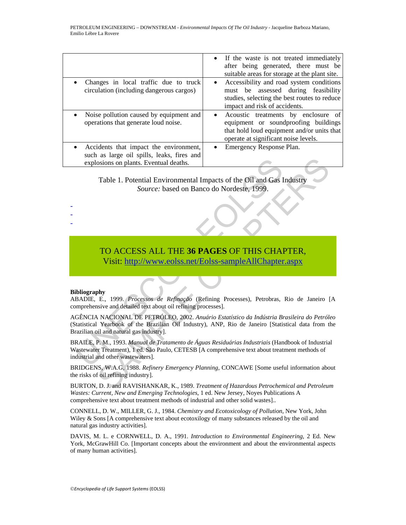|                                                                                                                                  | • If the waste is not treated immediately<br>after being generated, there must be<br>suitable areas for storage at the plant site.                                            |
|----------------------------------------------------------------------------------------------------------------------------------|-------------------------------------------------------------------------------------------------------------------------------------------------------------------------------|
| Changes in local traffic due to truck<br>$\bullet$<br>circulation (including dangerous cargos)                                   | Accessibility and road system conditions<br>$\bullet$<br>must be assessed during feasibility<br>studies, selecting the best routes to reduce<br>impact and risk of accidents. |
| Noise pollution caused by equipment and<br>$\bullet$<br>operations that generate loud noise.                                     | Acoustic treatments by enclosure of<br>equipment or soundproofing buildings<br>that hold loud equipment and/or units that<br>operate at significant noise levels.             |
| • Accidents that impact the environment,<br>such as large oil spills, leaks, fires and<br>explosions on plants. Eventual deaths. | Emergency Response Plan.                                                                                                                                                      |

Table 1. Potential Environmental Impacts of the Oil and Gas Industry *Source:* based on Banco do Nordeste, 1999.

# TO ACCESS ALL THE **36 PAGES** OF THIS CHAPTER,

Visit: http://www.eolss.net/Eolss-sampleAllChapter.aspx

#### **Bibliography**

- - -

ABADIE, E., 1999. *Processos de Refinação* (Refining Processes), Petrobras, Rio de Janeiro [A comprehensive and detailed text about oil refining processes].

AGÊNCIA NACIONAL DE PETRÓLEO, 2002. *Anuário Estatístico da Indústria Brasileira do Petróleo*  (Statistical Yearbook of the Brazilian Oil Industry), ANP, Rio de Janeiro [Statistical data from the Brazilian oil and natural gas industry].

explosions on plants. Eventual deaths.<br>
Table 1. Potential Environmental Impacts of the Oil and Gas I<br>
Source: based on Banco do Nordeste, 1999.<br>
TO ACCESS ALL THE 36 PAGES OF THIS CHAI<br>
Visit: http://www.eolss.net/Eolss-s Table 1. Potential deaths.<br>
Table 1. Potential Environmental Impacts of the Oil and Gas Industry<br>
Source: based on Banco do Nordeste, 1999.<br>
TO ACCESS ALL THE 36 PAGES OF THIS [CHA](https://www.eolss.net/ebooklib/sc_cart.aspx?File=E6-185-18)PTER,<br>
Visit: http://www.eolss.net/Eolss-sa BRAILE, P. M., 1993. *Manual de Tratamento de Águas Residuárias Industriais* (Handbook of Industrial Wastewater Treatment), 1 ed. São Paulo, CETESB [A comprehensive text about treatment methods of industrial and other wastewaters].

BRIDGENS, W.A.G, 1988. *Refinery Emergency Planning*, CONCAWE [Some useful information about the risks of oil refining industry].

BURTON, D. J. and RAVISHANKAR, K., 1989. *Treatment of Hazardous Petrochemical and Petroleum Wastes: Current, New and Emerging Technologies*, 1 ed. New Jersey, Noyes Publications A comprehensive text about treatment methods of industrial and other solid wastes]..

CONNELL, D. W., MILLER, G. J., 1984. *Chemistry and Ecotoxicology of Pollution*, New York, John Wiley & Sons [A comprehensive text about ecotoxilogy of many substances released by the oil and natural gas industry activities].

DAVIS, M. L. e CORNWELL, D. A., 1991. *Introduction to Environmental Engineering*, 2 Ed. New York, McGrawHill Co. [Important concepts about the environment and about the environmental aspects of many human activities].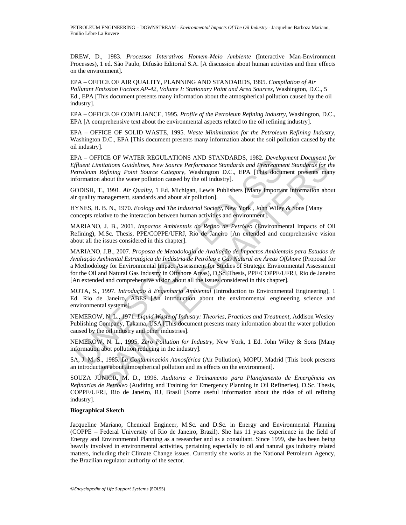DREW, D., 1983. *Processos Interativos Homem-Meio Ambiente* (Interactive Man-Environment Processes), 1 ed. São Paulo, Difusão Editorial S.A. [A discussion about human activities and their effects on the environment].

EPA – OFFICE OF AIR QUALITY, PLANNING AND STANDARDS, 1995. *Compilation of Air Pollutant Emission Factors AP-42, Volume I: Stationary Point and Area Sources*, Washington, D.C., 5 Ed., EPA [This document presents many information about the atmospherical pollution caused by the oil industry].

EPA – OFFICE OF COMPLIANCE, 1995. *Profile of the Petroleum Refining Industry*, Washington, D.C., EPA [A comprehensive text about the environmental aspects related to the oil refining industry].

EPA – OFFICE OF SOLID WASTE, 1995. *Waste Minimization for the Petroleum Refining Industry,*  Washington D.C., EPA [This document presents many information about the soil pollution caused by the oil industry].

EPA – OFFICE OF WATER REGULATIONS AND STANDARDS, 1982. *Development Document for Effluent Limitations Guidelines, New Source Performance Standards and Pretreatment Standards for the Petroleum Refining Point Source Category,* Washington D.C., EPA [This document presents many information about the water pollution caused by the oil industry].

GODISH, T., 1991. *Air Quality*, 1 Ed. Michigan, Lewis Publishers [Many important information about air quality management, standards and about air pollution].

HYNES, H. B. N., 1970. *Ecology and The Industrial Society*, New York , John Wiley & Sons [Many concepts relative to the interaction between human activities and environment].

MARIANO, J. B., 2001. *Impactos Ambientais do Refino de Petróleo* (Environmental Impacts of Oil Refining), M.Sc. Thesis, PPE/COPPE/UFRJ, Rio de Janeiro [An extended and comprehensive vision about all the issues considered in this chapter].

PA — OPFILE OF WATER REGULATIONS AND STANDADS. AND STANDARDS, 1982. Developed<br> *Effluent Limitations Guidelines, New Source Performance Standards and Preireatmentoleum Refining Point Source Category, Washington D.C., EPA [* FICE OF WAIER REGULLATIONS AND STANDAROS, 1982. Development Document J<br>minitarions Guidelines, New Source Performance Standards and Perferament Standards for the<br>diministions Guidelines, New Source Performance Standards a MARIANO, J.B., 2007. *Proposta de Metodologia de Avaliação de Impactos Ambientais para Estudos de Avaliação Ambiental Estratégica da Indústria de Petróleo e Gás Natural em Áreas Offshore* (Proposal for a Methodology for Environmental Impact Assessment for Studies of Strategic Environmental Assessment for the Oil and Natural Gas Industry in Offshore Areas), D.Sc. Thesis, PPE/COPPE/UFRJ, Rio de Janeiro [An extended and comprehensive vision about all the issues considered in this chapter].

MOTA, S., 1997. *Introdução à Engenharia Ambiental* (Introduction to Environmental Engineering), 1 Ed. Rio de Janeiro, ABES [An introduction about the environmental engineering science and environmental systems].

NEMEROW, N. L., 1971. *Liquid Waste of Industry: Theories, Practices and Treatment*, Addison Wesley Publishing Company, Takama, USA [This document presents many information about the water pollution caused by the oil industry and other industries].

NEMEROW, N. L., 1995. *Zero Pollution for Industry*, New York, 1 Ed. John Wiley & Sons [Many information abot pollution reducing in the industry].

SA, J. M. S., 1985. *La Contaminación Atmosférica* (Air Pollution), MOPU, Madrid [This book presents an introduction about atmospherical pollution and its effects on the environment].

SOUZA JÚNIOR, M. D., 1996. *Auditoria e Treinamento para Planejamento de Emergência em Refinarias de Petróleo* (Auditing and Training for Emergency Planning in Oil Refineries), D.Sc. Thesis, COPPE/UFRJ, Rio de Janeiro, RJ, Brasil [Some useful information about the risks of oil refining industry].

#### **Biographical Sketch**

Jacqueline Mariano, Chemical Engineer, M.Sc. and D.Sc. in Energy and Environmental Planning (COPPE – Federal University of Rio de Janeiro, Brazil). She has 11 years experience in the field of Energy and Environmental Planning as a researcher and as a consultant. Since 1999, she has been being heavily involved in environmental activities, pertaining especially to oil and natural gas industry related matters, including their Climate Change issues. Currently she works at the National Petroleum Agency, the Brazilian regulator authority of the sector.